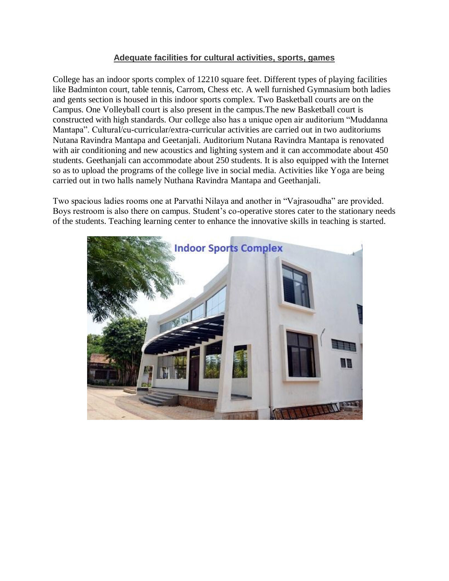## **Adequate facilities for cultural activities, sports, games**

College has an indoor sports complex of 12210 square feet. Different types of playing facilities like Badminton court, table tennis, Carrom, Chess etc. A well furnished Gymnasium both ladies and gents section is housed in this indoor sports complex. Two Basketball courts are on the Campus. One Volleyball court is also present in the campus.The new Basketball court is constructed with high standards. Our college also has a unique open air auditorium "Muddanna Mantapa". Cultural/cu-curricular/extra-curricular activities are carried out in two auditoriums Nutana Ravindra Mantapa and Geetanjali. Auditorium Nutana Ravindra Mantapa is renovated with air conditioning and new acoustics and lighting system and it can accommodate about 450 students. Geethanjali can accommodate about 250 students. It is also equipped with the Internet so as to upload the programs of the college live in social media. Activities like Yoga are being carried out in two halls namely Nuthana Ravindra Mantapa and Geethanjali.

Two spacious ladies rooms one at Parvathi Nilaya and another in "Vajrasoudha" are provided. Boys restroom is also there on campus. Student's co-operative stores cater to the stationary needs of the students. Teaching learning center to enhance the innovative skills in teaching is started.

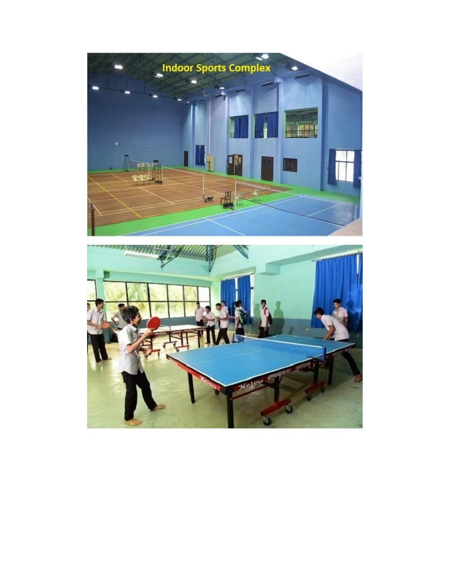

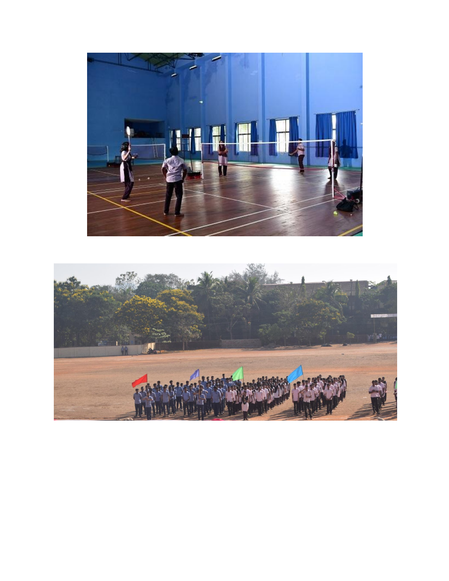

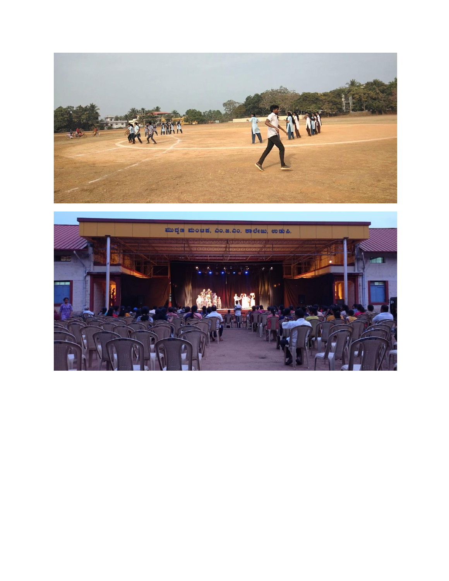